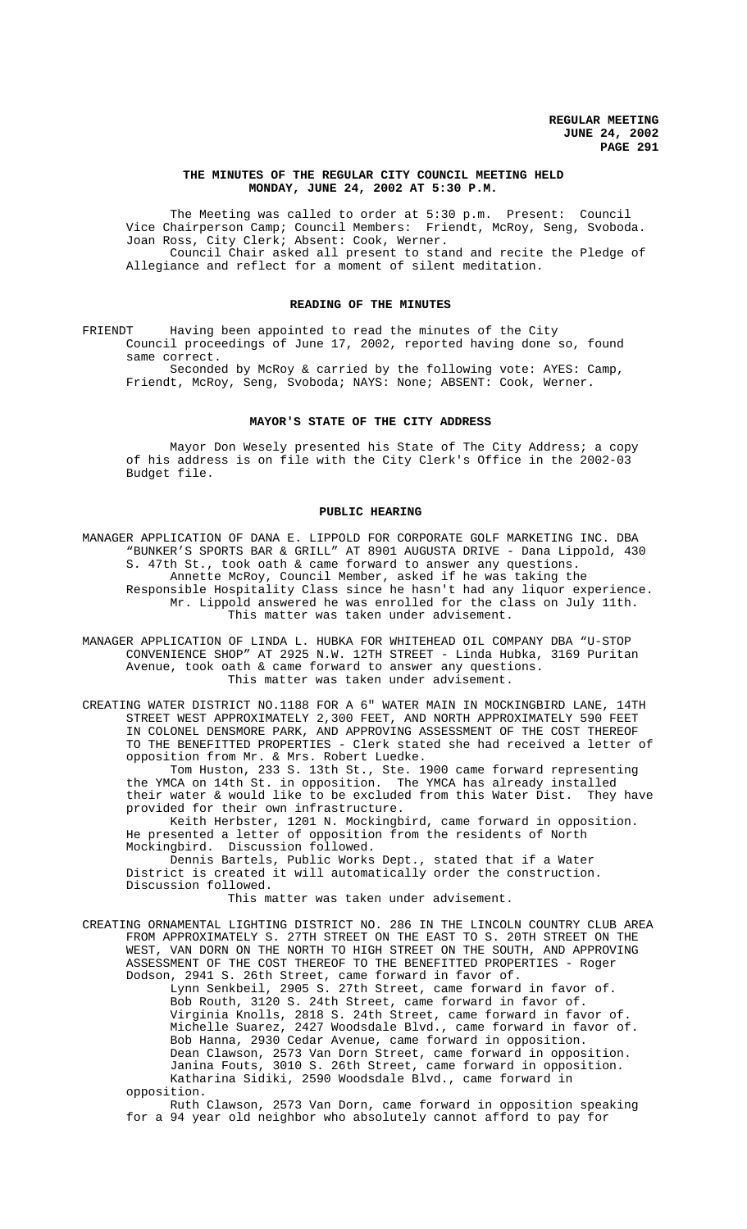## **THE MINUTES OF THE REGULAR CITY COUNCIL MEETING HELD MONDAY, JUNE 24, 2002 AT 5:30 P.M.**

The Meeting was called to order at 5:30 p.m. Present: Council Vice Chairperson Camp; Council Members: Friendt, McRoy, Seng, Svoboda. Joan Ross, City Clerk; Absent: Cook, Werner. Council Chair asked all present to stand and recite the Pledge of Allegiance and reflect for a moment of silent meditation.

#### **READING OF THE MINUTES**

FRIENDT Having been appointed to read the minutes of the City Council proceedings of June 17, 2002, reported having done so, found same correct.

Seconded by McRoy & carried by the following vote: AYES: Camp, Friendt, McRoy, Seng, Svoboda; NAYS: None; ABSENT: Cook, Werner.

## **MAYOR'S STATE OF THE CITY ADDRESS**

Mayor Don Wesely presented his State of The City Address; a copy of his address is on file with the City Clerk's Office in the 2002-03 Budget file.

#### **PUBLIC HEARING**

MANAGER APPLICATION OF DANA E. LIPPOLD FOR CORPORATE GOLF MARKETING INC. DBA "BUNKER'S SPORTS BAR & GRILL" AT 8901 AUGUSTA DRIVE - Dana Lippold, 430 S. 47th St., took oath & came forward to answer any questions. Annette McRoy, Council Member, asked if he was taking the Responsible Hospitality Class since he hasn't had any liquor experience. Mr. Lippold answered he was enrolled for the class on July 11th. This matter was taken under advisement.

MANAGER APPLICATION OF LINDA L. HUBKA FOR WHITEHEAD OIL COMPANY DBA "U-STOP CONVENIENCE SHOP" AT 2925 N.W. 12TH STREET - Linda Hubka, 3169 Puritan Avenue, took oath & came forward to answer any questions. This matter was taken under advisement.

CREATING WATER DISTRICT NO.1188 FOR A 6" WATER MAIN IN MOCKINGBIRD LANE, 14TH STREET WEST APPROXIMATELY 2,300 FEET, AND NORTH APPROXIMATELY 590 FEET IN COLONEL DENSMORE PARK, AND APPROVING ASSESSMENT OF THE COST THEREOF TO THE BENEFITTED PROPERTIES - Clerk stated she had received a letter of opposition from Mr. & Mrs. Robert Luedke.

Tom Huston, 233 S. 13th St., Ste. 1900 came forward representing the YMCA on 14th St. in opposition. The YMCA has already installed their water & would like to be excluded from this Water Dist. They have provided for their own infrastructure.

Keith Herbster, 1201 N. Mockingbird, came forward in opposition. He presented a letter of opposition from the residents of North Mockingbird. Discussion followed.

Dennis Bartels, Public Works Dept., stated that if a Water District is created it will automatically order the construction. Discussion followed.

This matter was taken under advisement.

CREATING ORNAMENTAL LIGHTING DISTRICT NO. 286 IN THE LINCOLN COUNTRY CLUB AREA FROM APPROXIMATELY S. 27TH STREET ON THE EAST TO S. 20TH STREET ON THE WEST, VAN DORN ON THE NORTH TO HIGH STREET ON THE SOUTH, AND APPROVING ASSESSMENT OF THE COST THEREOF TO THE BENEFITTED PROPERTIES - Roger Dodson, 2941 S. 26th Street, came forward in favor of.

Lynn Senkbeil, 2905 S. 27th Street, came forward in favor of. Bob Routh, 3120 S. 24th Street, came forward in favor of. Virginia Knolls, 2818 S. 24th Street, came forward in favor of. Michelle Suarez, 2427 Woodsdale Blvd., came forward in favor of. Bob Hanna, 2930 Cedar Avenue, came forward in opposition. Dean Clawson, 2573 Van Dorn Street, came forward in opposition. Janina Fouts, 3010 S. 26th Street, came forward in opposition. Katharina Sidiki, 2590 Woodsdale Blvd., came forward in opposition.

Ruth Clawson, 2573 Van Dorn, came forward in opposition speaking for a 94 year old neighbor who absolutely cannot afford to pay for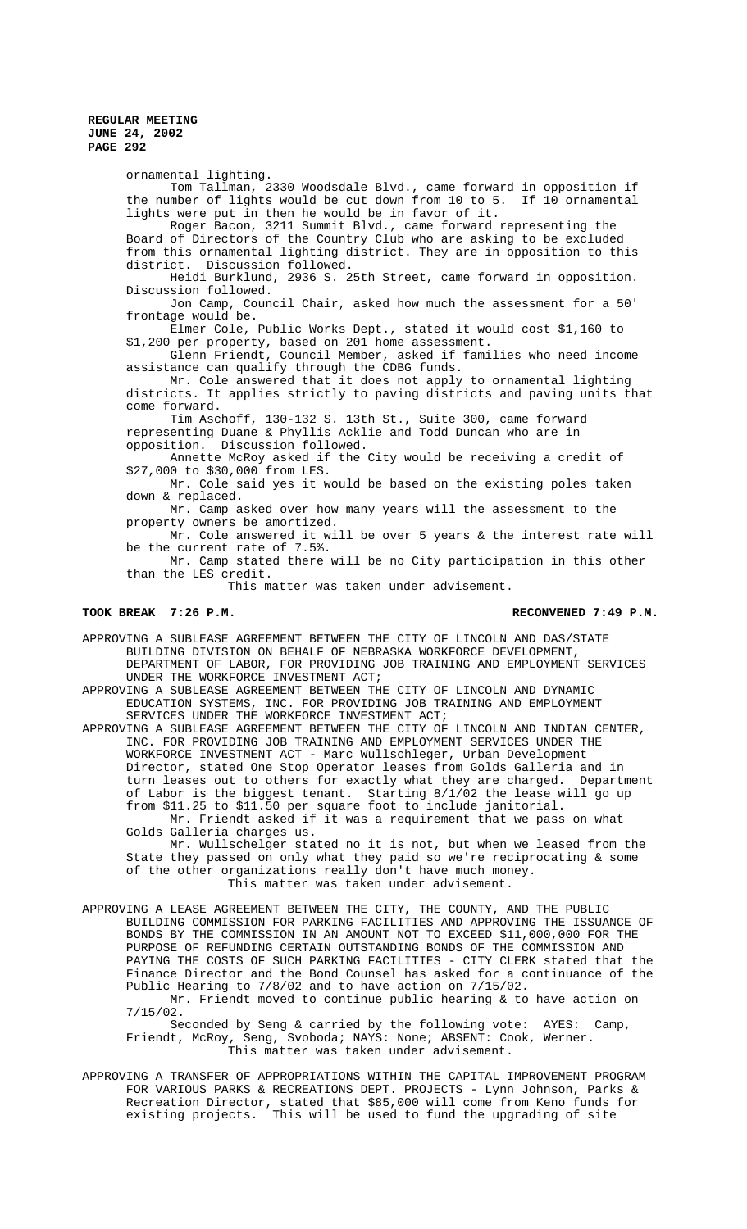ornamental lighting. Tom Tallman, 2330 Woodsdale Blvd., came forward in opposition if the number of lights would be cut down from 10 to 5. If 10 ornamental lights were put in then he would be in favor of it. Roger Bacon, 3211 Summit Blvd., came forward representing the Board of Directors of the Country Club who are asking to be excluded from this ornamental lighting district. They are in opposition to this district. Discussion followed. Heidi Burklund, 2936 S. 25th Street, came forward in opposition. Discussion followed. Jon Camp, Council Chair, asked how much the assessment for a 50' frontage would be. Elmer Cole, Public Works Dept., stated it would cost \$1,160 to \$1,200 per property, based on 201 home assessment. Glenn Friendt, Council Member, asked if families who need income assistance can qualify through the CDBG funds. Mr. Cole answered that it does not apply to ornamental lighting districts. It applies strictly to paving districts and paving units that come forward. Tim Aschoff, 130-132 S. 13th St., Suite 300, came forward representing Duane & Phyllis Acklie and Todd Duncan who are in opposition. Discussion followed. Annette McRoy asked if the City would be receiving a credit of \$27,000 to \$30,000 from LES. Mr. Cole said yes it would be based on the existing poles taken down & replaced. Mr. Camp asked over how many years will the assessment to the property owners be amortized. Mr. Cole answered it will be over 5 years & the interest rate will be the current rate of 7.5%. Mr. Camp stated there will be no City participation in this other than the LES credit. This matter was taken under advisement. TOOK BREAK 7:26 P.M. RECONVENED 7:49 P.M. APPROVING A SUBLEASE AGREEMENT BETWEEN THE CITY OF LINCOLN AND DAS/STATE BUILDING DIVISION ON BEHALF OF NEBRASKA WORKFORCE DEVELOPMENT, DEPARTMENT OF LABOR, FOR PROVIDING JOB TRAINING AND EMPLOYMENT SERVICES UNDER THE WORKFORCE INVESTMENT ACT; APPROVING A SUBLEASE AGREEMENT BETWEEN THE CITY OF LINCOLN AND DYNAMIC EDUCATION SYSTEMS, INC. FOR PROVIDING JOB TRAINING AND EMPLOYMENT SERVICES UNDER THE WORKFORCE INVESTMENT ACT; APPROVING A SUBLEASE AGREEMENT BETWEEN THE CITY OF LINCOLN AND INDIAN CENTER, INC. FOR PROVIDING JOB TRAINING AND EMPLOYMENT SERVICES UNDER THE

WORKFORCE INVESTMENT ACT - Marc Wullschleger, Urban Development Director, stated One Stop Operator leases from Golds Galleria and in turn leases out to others for exactly what they are charged. Department of Labor is the biggest tenant. Starting 8/1/02 the lease will go up from \$11.25 to \$11.50 per square foot to include janitorial. Mr. Friendt asked if it was a requirement that we pass on what

Golds Galleria charges us.

Mr. Wullschelger stated no it is not, but when we leased from the State they passed on only what they paid so we're reciprocating & some of the other organizations really don't have much money. This matter was taken under advisement.

APPROVING A LEASE AGREEMENT BETWEEN THE CITY, THE COUNTY, AND THE PUBLIC BUILDING COMMISSION FOR PARKING FACILITIES AND APPROVING THE ISSUANCE OF BONDS BY THE COMMISSION IN AN AMOUNT NOT TO EXCEED \$11,000,000 FOR THE PURPOSE OF REFUNDING CERTAIN OUTSTANDING BONDS OF THE COMMISSION AND PAYING THE COSTS OF SUCH PARKING FACILITIES - CITY CLERK stated that the Finance Director and the Bond Counsel has asked for a continuance of the Public Hearing to 7/8/02 and to have action on 7/15/02.

Mr. Friendt moved to continue public hearing & to have action on 7/15/02.

Seconded by Seng & carried by the following vote: AYES: Camp, Friendt, McRoy, Seng, Svoboda; NAYS: None; ABSENT: Cook, Werner. This matter was taken under advisement.

APPROVING A TRANSFER OF APPROPRIATIONS WITHIN THE CAPITAL IMPROVEMENT PROGRAM FOR VARIOUS PARKS & RECREATIONS DEPT. PROJECTS - Lynn Johnson, Parks & Recreation Director, stated that \$85,000 will come from Keno funds for existing projects. This will be used to fund the upgrading of site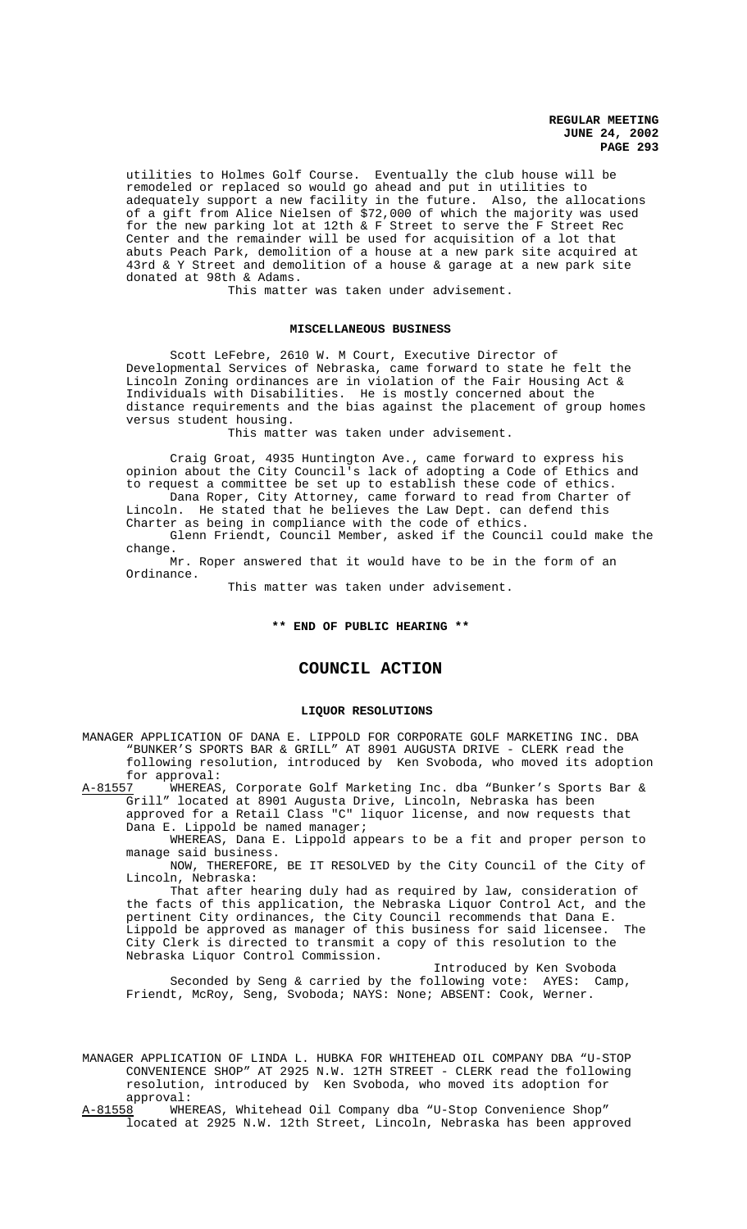utilities to Holmes Golf Course. Eventually the club house will be remodeled or replaced so would go ahead and put in utilities to adequately support a new facility in the future. Also, the allocations of a gift from Alice Nielsen of \$72,000 of which the majority was used for the new parking lot at 12th & F Street to serve the F Street Rec Center and the remainder will be used for acquisition of a lot that abuts Peach Park, demolition of a house at a new park site acquired at 43rd & Y Street and demolition of a house & garage at a new park site donated at 98th & Adams.

This matter was taken under advisement.

#### **MISCELLANEOUS BUSINESS**

Scott LeFebre, 2610 W. M Court, Executive Director of Developmental Services of Nebraska, came forward to state he felt the Lincoln Zoning ordinances are in violation of the Fair Housing Act & Individuals with Disabilities. He is mostly concerned about the distance requirements and the bias against the placement of group homes versus student housing.

This matter was taken under advisement.

Craig Groat, 4935 Huntington Ave., came forward to express his opinion about the City Council's lack of adopting a Code of Ethics and to request a committee be set up to establish these code of ethics. Dana Roper, City Attorney, came forward to read from Charter of

Lincoln. He stated that he believes the Law Dept. can defend this Charter as being in compliance with the code of ethics.

Glenn Friendt, Council Member, asked if the Council could make the change.

Mr. Roper answered that it would have to be in the form of an Ordinance.

This matter was taken under advisement.

## **\*\* END OF PUBLIC HEARING \*\***

# **COUNCIL ACTION**

#### **LIQUOR RESOLUTIONS**

MANAGER APPLICATION OF DANA E. LIPPOLD FOR CORPORATE GOLF MARKETING INC. DBA "BUNKER'S SPORTS BAR & GRILL" AT 8901 AUGUSTA DRIVE - CLERK read the following resolution, introduced by Ken Svoboda, who moved its adoption for approval:<br>A-81557 WHEREAS

WHEREAS, Corporate Golf Marketing Inc. dba "Bunker's Sports Bar & Grill" located at 8901 Augusta Drive, Lincoln, Nebraska has been approved for a Retail Class "C" liquor license, and now requests that

Dana E. Lippold be named manager; WHEREAS, Dana E. Lippold appears to be a fit and proper person to

manage said business. NOW, THEREFORE, BE IT RESOLVED by the City Council of the City of

Lincoln, Nebraska:

That after hearing duly had as required by law, consideration of the facts of this application, the Nebraska Liquor Control Act, and the pertinent City ordinances, the City Council recommends that Dana E. Lippold be approved as manager of this business for said licensee. The City Clerk is directed to transmit a copy of this resolution to the Nebraska Liquor Control Commission.

Introduced by Ken Svoboda Seconded by Seng & carried by the following vote: AYES: Camp, Friendt, McRoy, Seng, Svoboda; NAYS: None; ABSENT: Cook, Werner.

MANAGER APPLICATION OF LINDA L. HUBKA FOR WHITEHEAD OIL COMPANY DBA "U-STOP CONVENIENCE SHOP" AT 2925 N.W. 12TH STREET - CLERK read the following resolution, introduced by Ken Svoboda, who moved its adoption for approval:<br>A-81558 WHEI

WHEREAS, Whitehead Oil Company dba "U-Stop Convenience Shop" located at 2925 N.W. 12th Street, Lincoln, Nebraska has been approved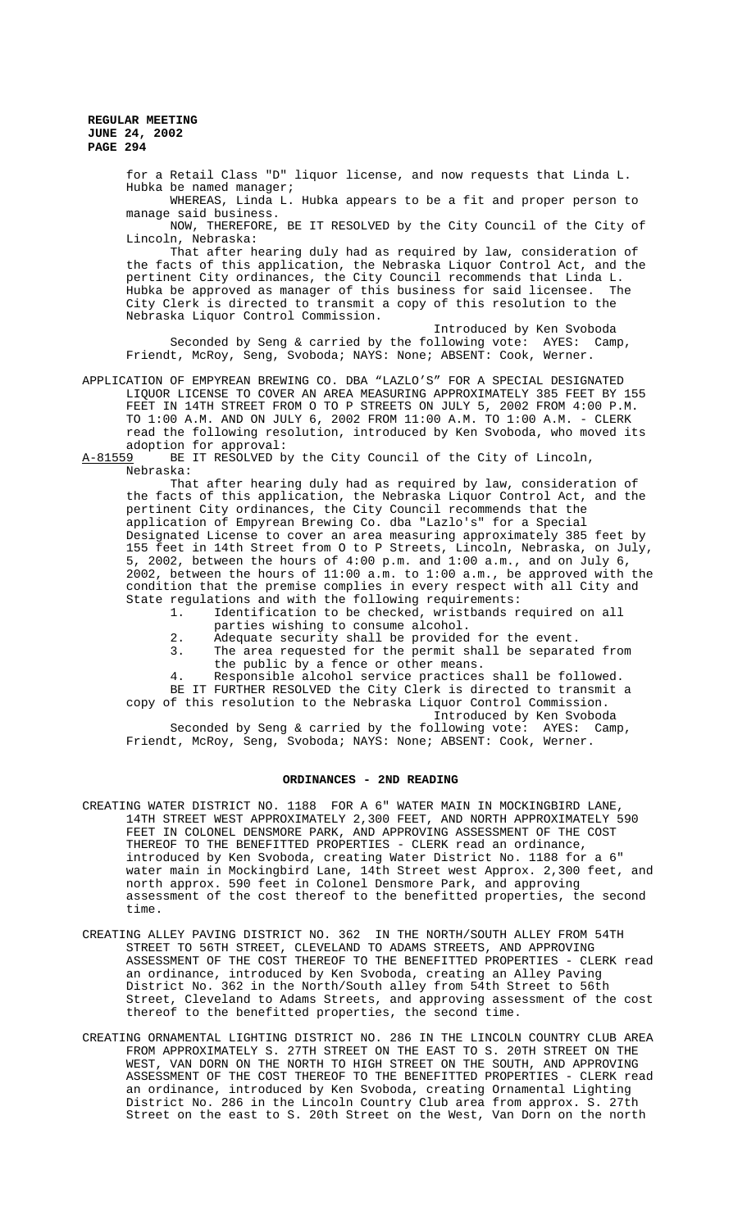> for a Retail Class "D" liquor license, and now requests that Linda L. Hubka be named manager;

WHEREAS, Linda L. Hubka appears to be a fit and proper person to manage said business.

NOW, THEREFORE, BE IT RESOLVED by the City Council of the City of Lincoln, Nebraska:

That after hearing duly had as required by law, consideration of the facts of this application, the Nebraska Liquor Control Act, and the pertinent City ordinances, the City Council recommends that Linda L. Hubka be approved as manager of this business for said licensee. City Clerk is directed to transmit a copy of this resolution to the Nebraska Liquor Control Commission.

Introduced by Ken Svoboda Seconded by Seng & carried by the following vote: AYES: Camp, Friendt, McRoy, Seng, Svoboda; NAYS: None; ABSENT: Cook, Werner.

APPLICATION OF EMPYREAN BREWING CO. DBA "LAZLO'S" FOR A SPECIAL DESIGNATED LIQUOR LICENSE TO COVER AN AREA MEASURING APPROXIMATELY 385 FEET BY 155 FEET IN 14TH STREET FROM O TO P STREETS ON JULY 5, 2002 FROM 4:00 P.M. TO 1:00 A.M. AND ON JULY 6, 2002 FROM 11:00 A.M. TO 1:00 A.M. - CLERK read the following resolution, introduced by Ken Svoboda, who moved its adoption for approval:<br>A-81559 BE IT RESOLVED b

BE IT RESOLVED by the City Council of the City of Lincoln, Nebraska:

That after hearing duly had as required by law, consideration of the facts of this application, the Nebraska Liquor Control Act, and the pertinent City ordinances, the City Council recommends that the application of Empyrean Brewing Co. dba "Lazlo's" for a Special Designated License to cover an area measuring approximately 385 feet by 155 feet in 14th Street from O to P Streets, Lincoln, Nebraska, on July, 5, 2002, between the hours of 4:00 p.m. and 1:00 a.m., and on July 6, 2002, between the hours of 11:00 a.m. to 1:00 a.m., be approved with the condition that the premise complies in every respect with all City and State regulations and with the following requirements:<br>1. Identification to be checked, wristbands r

- Identification to be checked, wristbands required on all
	- parties wishing to consume alcohol.
	- 2. Adequate security shall be provided for the event.<br>3. The area requested for the permit shall be separat
	- The area requested for the permit shall be separated from the public by a fence or other means.

4. Responsible alcohol service practices shall be followed. BE IT FURTHER RESOLVED the City Clerk is directed to transmit a

copy of this resolution to the Nebraska Liquor Control Commission. Introduced by Ken Svoboda

Seconded by Seng & carried by the following vote: AYES: Camp, Friendt, McRoy, Seng, Svoboda; NAYS: None; ABSENT: Cook, Werner.

## **ORDINANCES - 2ND READING**

- CREATING WATER DISTRICT NO. 1188 FOR A 6" WATER MAIN IN MOCKINGBIRD LANE, 14TH STREET WEST APPROXIMATELY 2,300 FEET, AND NORTH APPROXIMATELY 590 FEET IN COLONEL DENSMORE PARK, AND APPROVING ASSESSMENT OF THE COST THEREOF TO THE BENEFITTED PROPERTIES - CLERK read an ordinance, introduced by Ken Svoboda, creating Water District No. 1188 for a 6" water main in Mockingbird Lane, 14th Street west Approx. 2,300 feet, and north approx. 590 feet in Colonel Densmore Park, and approving assessment of the cost thereof to the benefitted properties, the second time.
- CREATING ALLEY PAVING DISTRICT NO. 362 IN THE NORTH/SOUTH ALLEY FROM 54TH STREET TO 56TH STREET, CLEVELAND TO ADAMS STREETS, AND APPROVING ASSESSMENT OF THE COST THEREOF TO THE BENEFITTED PROPERTIES - CLERK read an ordinance, introduced by Ken Svoboda, creating an Alley Paving District No. 362 in the North/South alley from 54th Street to 56th Street, Cleveland to Adams Streets, and approving assessment of the cost thereof to the benefitted properties, the second time.
- CREATING ORNAMENTAL LIGHTING DISTRICT NO. 286 IN THE LINCOLN COUNTRY CLUB AREA FROM APPROXIMATELY S. 27TH STREET ON THE EAST TO S. 20TH STREET ON THE WEST, VAN DORN ON THE NORTH TO HIGH STREET ON THE SOUTH, AND APPROVING ASSESSMENT OF THE COST THEREOF TO THE BENEFITTED PROPERTIES - CLERK read an ordinance, introduced by Ken Svoboda, creating Ornamental Lighting District No. 286 in the Lincoln Country Club area from approx. S. 27th Street on the east to S. 20th Street on the West, Van Dorn on the north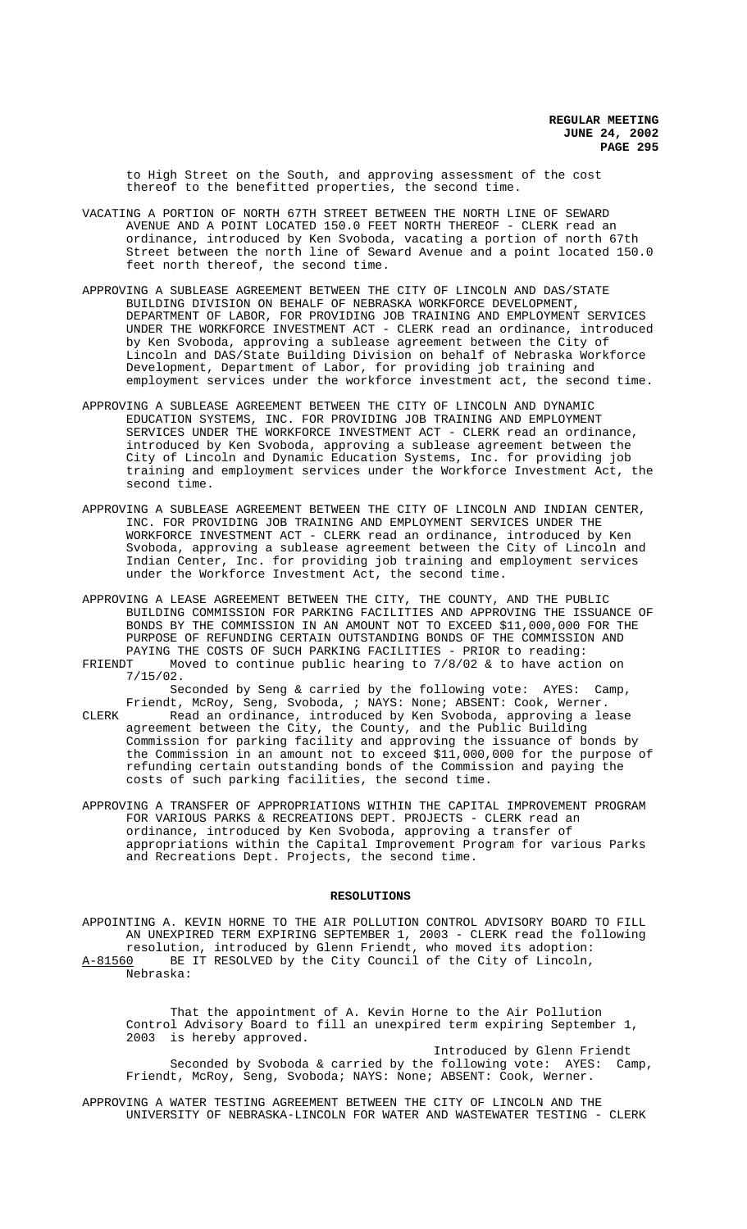to High Street on the South, and approving assessment of the cost thereof to the benefitted properties, the second time.

- VACATING A PORTION OF NORTH 67TH STREET BETWEEN THE NORTH LINE OF SEWARD AVENUE AND A POINT LOCATED 150.0 FEET NORTH THEREOF - CLERK read an ordinance, introduced by Ken Svoboda, vacating a portion of north 67th Street between the north line of Seward Avenue and a point located 150.0 feet north thereof, the second time.
- APPROVING A SUBLEASE AGREEMENT BETWEEN THE CITY OF LINCOLN AND DAS/STATE BUILDING DIVISION ON BEHALF OF NEBRASKA WORKFORCE DEVELOPMENT, DEPARTMENT OF LABOR, FOR PROVIDING JOB TRAINING AND EMPLOYMENT SERVICES UNDER THE WORKFORCE INVESTMENT ACT - CLERK read an ordinance, introduced by Ken Svoboda, approving a sublease agreement between the City of Lincoln and DAS/State Building Division on behalf of Nebraska Workforce Development, Department of Labor, for providing job training and employment services under the workforce investment act, the second time.
- APPROVING A SUBLEASE AGREEMENT BETWEEN THE CITY OF LINCOLN AND DYNAMIC EDUCATION SYSTEMS, INC. FOR PROVIDING JOB TRAINING AND EMPLOYMENT SERVICES UNDER THE WORKFORCE INVESTMENT ACT - CLERK read an ordinance, introduced by Ken Svoboda, approving a sublease agreement between the City of Lincoln and Dynamic Education Systems, Inc. for providing job training and employment services under the Workforce Investment Act, the second time.
- APPROVING A SUBLEASE AGREEMENT BETWEEN THE CITY OF LINCOLN AND INDIAN CENTER, INC. FOR PROVIDING JOB TRAINING AND EMPLOYMENT SERVICES UNDER THE WORKFORCE INVESTMENT ACT - CLERK read an ordinance, introduced by Ken Svoboda, approving a sublease agreement between the City of Lincoln and Indian Center, Inc. for providing job training and employment services under the Workforce Investment Act, the second time.
- APPROVING A LEASE AGREEMENT BETWEEN THE CITY, THE COUNTY, AND THE PUBLIC BUILDING COMMISSION FOR PARKING FACILITIES AND APPROVING THE ISSUANCE OF BONDS BY THE COMMISSION IN AN AMOUNT NOT TO EXCEED \$11,000,000 FOR THE PURPOSE OF REFUNDING CERTAIN OUTSTANDING BONDS OF THE COMMISSION AND PAYING THE COSTS OF SUCH PARKING FACILITIES - PRIOR to reading:<br>FRIENDT Moved to continue public hearing to 7/8/02 & to have acti
- Moved to continue public hearing to  $7/8/02$  & to have action on 7/15/02.

Seconded by Seng & carried by the following vote: AYES: Camp, Friendt, McRoy, Seng, Svoboda, ; NAYS: None; ABSENT: Cook, Werner.

CLERK Read an ordinance, introduced by Ken Svoboda, approving a lease agreement between the City, the County, and the Public Building Commission for parking facility and approving the issuance of bonds by the Commission in an amount not to exceed \$11,000,000 for the purpose of refunding certain outstanding bonds of the Commission and paying the costs of such parking facilities, the second time.

APPROVING A TRANSFER OF APPROPRIATIONS WITHIN THE CAPITAL IMPROVEMENT PROGRAM FOR VARIOUS PARKS & RECREATIONS DEPT. PROJECTS - CLERK read an ordinance, introduced by Ken Svoboda, approving a transfer of appropriations within the Capital Improvement Program for various Parks and Recreations Dept. Projects, the second time.

#### **RESOLUTIONS**

APPOINTING A. KEVIN HORNE TO THE AIR POLLUTION CONTROL ADVISORY BOARD TO FILL AN UNEXPIRED TERM EXPIRING SEPTEMBER 1, 2003 - CLERK read the following resolution, introduced by Glenn Friendt, who moved its adoption: A-81560 BE IT RESOLVED by the City Council of the City of Lincoln, Nebraska:

That the appointment of A. Kevin Horne to the Air Pollution Control Advisory Board to fill an unexpired term expiring September 1, 2003 is hereby approved.

Introduced by Glenn Friendt Seconded by Svoboda & carried by the following vote: AYES: Camp, Friendt, McRoy, Seng, Svoboda; NAYS: None; ABSENT: Cook, Werner.

APPROVING A WATER TESTING AGREEMENT BETWEEN THE CITY OF LINCOLN AND THE UNIVERSITY OF NEBRASKA-LINCOLN FOR WATER AND WASTEWATER TESTING - CLERK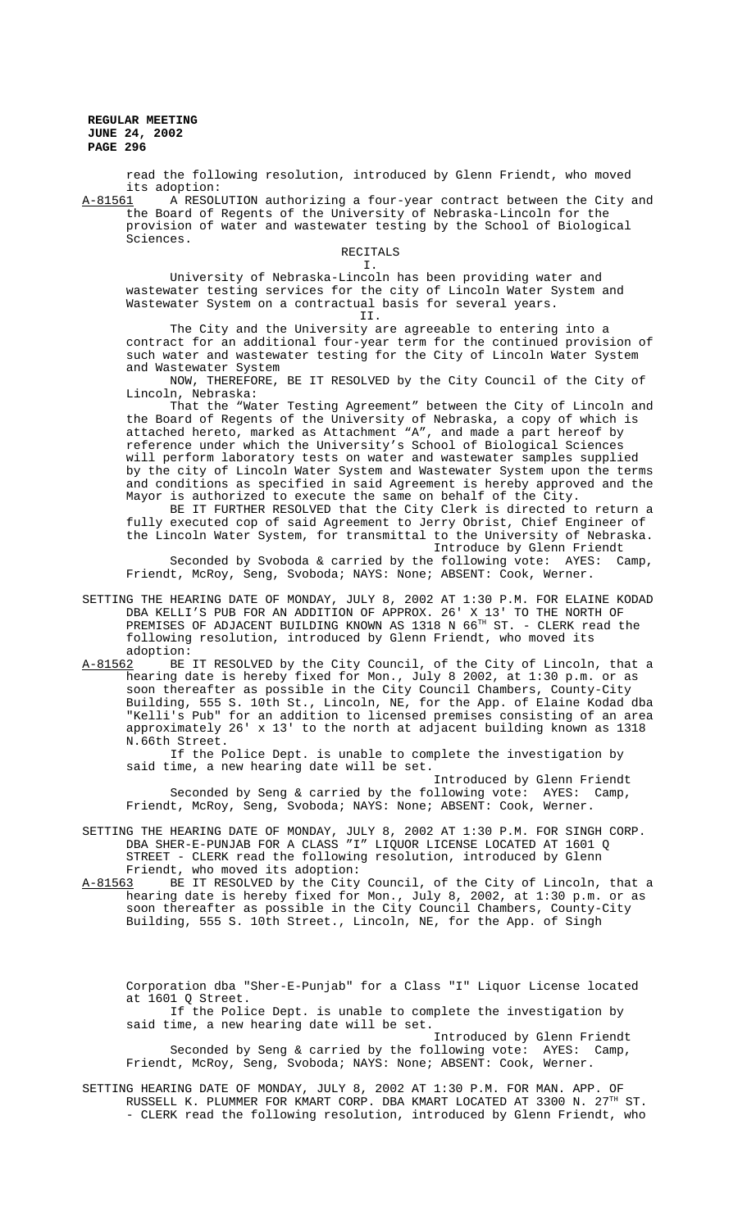read the following resolution, introduced by Glenn Friendt, who moved its adoption:

A-81561 A RESOLUTION authorizing a four-year contract between the City and the Board of Regents of the University of Nebraska-Lincoln for the provision of water and wastewater testing by the School of Biological Sciences.

#### RECITALS

## I.

University of Nebraska-Lincoln has been providing water and wastewater testing services for the city of Lincoln Water System and Wastewater System on a contractual basis for several years. II.

The City and the University are agreeable to entering into a contract for an additional four-year term for the continued provision of such water and wastewater testing for the City of Lincoln Water System and Wastewater System

NOW, THEREFORE, BE IT RESOLVED by the City Council of the City of Lincoln, Nebraska:

That the "Water Testing Agreement" between the City of Lincoln and the Board of Regents of the University of Nebraska, a copy of which is attached hereto, marked as Attachment "A", and made a part hereof by reference under which the University's School of Biological Sciences will perform laboratory tests on water and wastewater samples supplied by the city of Lincoln Water System and Wastewater System upon the terms and conditions as specified in said Agreement is hereby approved and the Mayor is authorized to execute the same on behalf of the City.

BE IT FURTHER RESOLVED that the City Clerk is directed to return a fully executed cop of said Agreement to Jerry Obrist, Chief Engineer of the Lincoln Water System, for transmittal to the University of Nebraska. Introduce by Glenn Friendt

Seconded by Svoboda & carried by the following vote: AYES: Camp, Friendt, McRoy, Seng, Svoboda; NAYS: None; ABSENT: Cook, Werner.

- SETTING THE HEARING DATE OF MONDAY, JULY 8, 2002 AT 1:30 P.M. FOR ELAINE KODAD DBA KELLI'S PUB FOR AN ADDITION OF APPROX. 26' X 13' TO THE NORTH OF PREMISES OF ADJACENT BUILDING KNOWN AS 1318 N 66<sup>TH</sup> ST. - CLERK read the following resolution, introduced by Glenn Friendt, who moved its
- adoption:<br>A-81562 BE A-81562 BE IT RESOLVED by the City Council, of the City of Lincoln, that a hearing date is hereby fixed for Mon., July 8 2002, at 1:30 p.m. or as soon thereafter as possible in the City Council Chambers, County-City Building, 555 S. 10th St., Lincoln, NE, for the App. of Elaine Kodad dba "Kelli's Pub" for an addition to licensed premises consisting of an area approximately 26' x 13' to the north at adjacent building known as 1318 N.66th Street.

If the Police Dept. is unable to complete the investigation by said time, a new hearing date will be set.

Introduced by Glenn Friendt Seconded by Seng & carried by the following vote: AYES: Camp, Friendt, McRoy, Seng, Svoboda; NAYS: None; ABSENT: Cook, Werner.

SETTING THE HEARING DATE OF MONDAY, JULY 8, 2002 AT 1:30 P.M. FOR SINGH CORP. DBA SHER-E-PUNJAB FOR A CLASS "I" LIQUOR LICENSE LOCATED AT 1601 Q STREET - CLERK read the following resolution, introduced by Glenn Friendt, who moved its adoption:

A-81563 BE IT RESOLVED by the City Council, of the City of Lincoln, that a hearing date is hereby fixed for Mon., July 8, 2002, at 1:30 p.m. or as soon thereafter as possible in the City Council Chambers, County-City Building, 555 S. 10th Street., Lincoln, NE, for the App. of Singh

Corporation dba "Sher-E-Punjab" for a Class "I" Liquor License located at 1601 Q Street.

If the Police Dept. is unable to complete the investigation by said time, a new hearing date will be set.

Introduced by Glenn Friendt Seconded by Seng & carried by the following vote: AYES: Camp, Friendt, McRoy, Seng, Svoboda; NAYS: None; ABSENT: Cook, Werner.

SETTING HEARING DATE OF MONDAY, JULY 8, 2002 AT 1:30 P.M. FOR MAN. APP. OF RUSSELL K. PLUMMER FOR KMART CORP. DBA KMART LOCATED AT 3300 N. 27TH ST. - CLERK read the following resolution, introduced by Glenn Friendt, who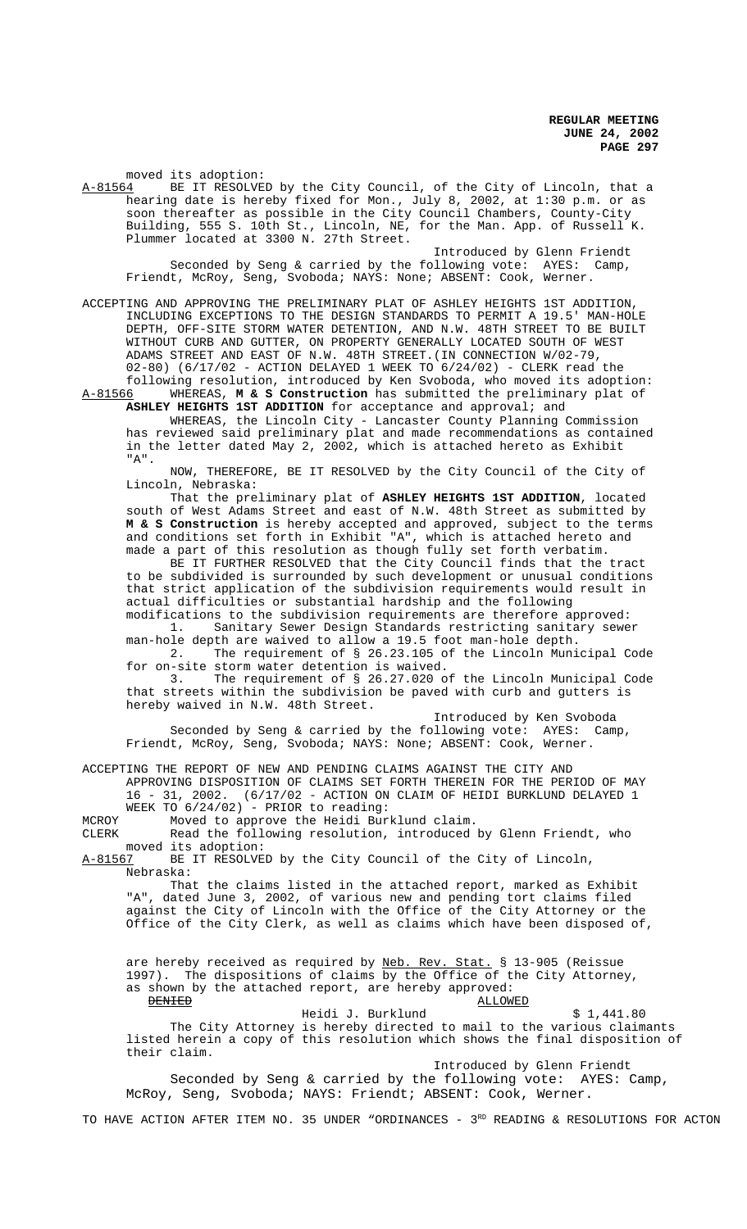moved its adoption:<br>A-81564 BE IT RESOLVE BE IT RESOLVED by the City Council, of the City of Lincoln, that a hearing date is hereby fixed for Mon., July 8, 2002, at 1:30 p.m. or as soon thereafter as possible in the City Council Chambers, County-City Building, 555 S. 10th St., Lincoln, NE, for the Man. App. of Russell K. Plummer located at 3300 N. 27th Street.

Introduced by Glenn Friendt Seconded by Seng & carried by the following vote: AYES: Camp, Friendt, McRoy, Seng, Svoboda; NAYS: None; ABSENT: Cook, Werner.

ACCEPTING AND APPROVING THE PRELIMINARY PLAT OF ASHLEY HEIGHTS 1ST ADDITION, INCLUDING EXCEPTIONS TO THE DESIGN STANDARDS TO PERMIT A 19.5' MAN-HOLE DEPTH, OFF-SITE STORM WATER DETENTION, AND N.W. 48TH STREET TO BE BUILT WITHOUT CURB AND GUTTER, ON PROPERTY GENERALLY LOCATED SOUTH OF WEST ADAMS STREET AND EAST OF N.W. 48TH STREET.(IN CONNECTION W/02-79, 02-80) (6/17/02 - ACTION DELAYED 1 WEEK TO 6/24/02) - CLERK read the following resolution, introduced by Ken Svoboda, who moved its adoption: A-81566 WHEREAS, **M & S Construction** has submitted the preliminary plat of

**ASHLEY HEIGHTS 1ST ADDITION** for acceptance and approval; and WHEREAS, the Lincoln City - Lancaster County Planning Commission has reviewed said preliminary plat and made recommendations as contained in the letter dated May 2, 2002, which is attached hereto as Exhibit

"A". NOW, THEREFORE, BE IT RESOLVED by the City Council of the City of Lincoln, Nebraska:

That the preliminary plat of **ASHLEY HEIGHTS 1ST ADDITION**, located south of West Adams Street and east of N.W. 48th Street as submitted by **M & S Construction** is hereby accepted and approved, subject to the terms and conditions set forth in Exhibit "A", which is attached hereto and made a part of this resolution as though fully set forth verbatim.

BE IT FURTHER RESOLVED that the City Council finds that the tract to be subdivided is surrounded by such development or unusual conditions that strict application of the subdivision requirements would result in actual difficulties or substantial hardship and the following modifications to the subdivision requirements are therefore approved:

1. Sanitary Sewer Design Standards restricting sanitary sewer man-hole depth are waived to allow a 19.5 foot man-hole depth.

2. The requirement of § 26.23.105 of the Lincoln Municipal Code for on-site storm water detention is waived.

3. The requirement of § 26.27.020 of the Lincoln Municipal Code that streets within the subdivision be paved with curb and gutters is hereby waived in N.W. 48th Street.

Introduced by Ken Svoboda Seconded by Seng & carried by the following vote: AYES: Camp, Friendt, McRoy, Seng, Svoboda; NAYS: None; ABSENT: Cook, Werner.

ACCEPTING THE REPORT OF NEW AND PENDING CLAIMS AGAINST THE CITY AND

APPROVING DISPOSITION OF CLAIMS SET FORTH THEREIN FOR THE PERIOD OF MAY  $16 - 31$ ,  $2002$ .  $(6/17/02 -$  ACTION ON CLAIM OF HEIDI BURKLUND DELAYED 1  $(6/17/02$  - ACTION ON CLAIM OF HEIDI BURKLUND DELAYED 1 WEEK TO  $6/24/02$ ) - PRIOR to reading:

MCROY Moved to approve the Heidi Burklund claim.

CLERK Read the following resolution, introduced by Glenn Friendt, who moved its adoption:<br>A-81567 BE IT RESOLVE

BE IT RESOLVED by the City Council of the City of Lincoln, Nebraska:

That the claims listed in the attached report, marked as Exhibit "A", dated June 3, 2002, of various new and pending tort claims filed against the City of Lincoln with the Office of the City Attorney or the Office of the City Clerk, as well as claims which have been disposed of,

are hereby received as required by Neb. Rev. Stat. § 13-905 (Reissue 1997). The dispositions of claims by the Office of the City Attorney, as shown by the attached report, are hereby approved:<br>BENTED ALLOWI **ALLOWED** 

Heidi J. Burklund \$ 1,441.80 The City Attorney is hereby directed to mail to the various claimants listed herein a copy of this resolution which shows the final disposition of their claim.

 Introduced by Glenn Friendt Seconded by Seng & carried by the following vote: AYES: Camp, McRoy, Seng, Svoboda; NAYS: Friendt; ABSENT: Cook, Werner.

TO HAVE ACTION AFTER ITEM NO. 35 UNDER "ORDINANCES -  $3^{RD}$  READING & RESOLUTIONS FOR ACTON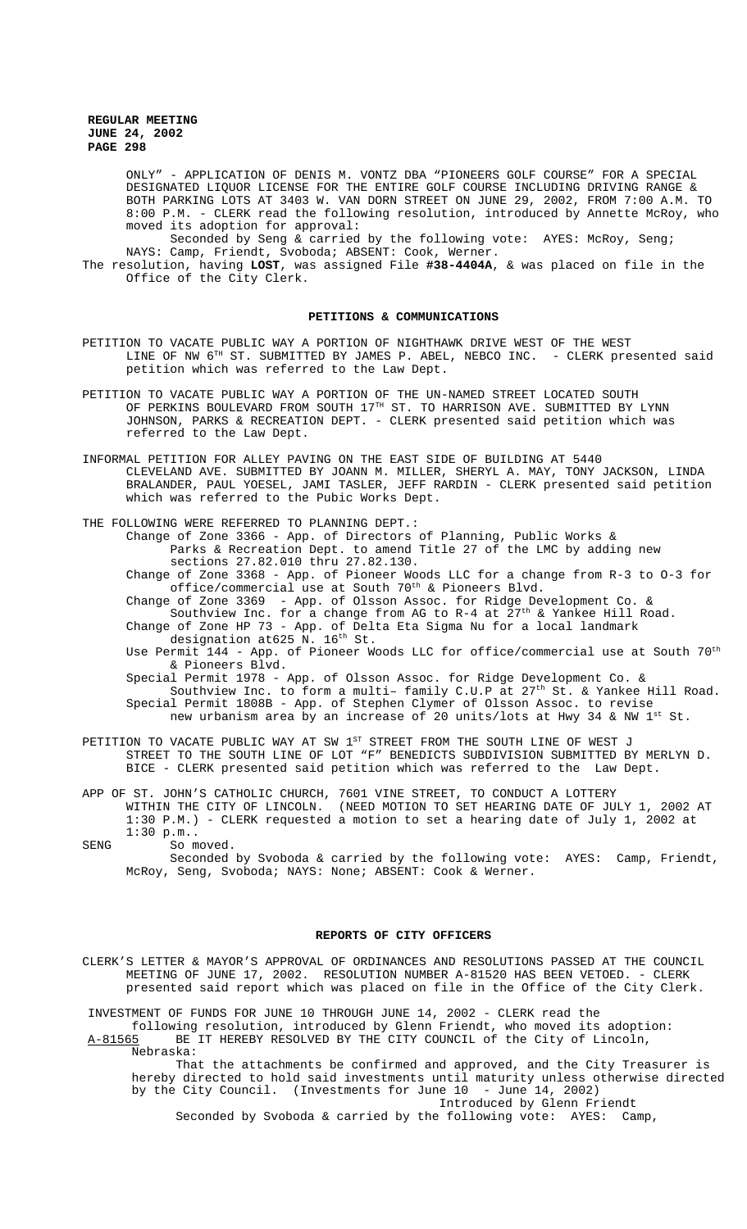ONLY" - APPLICATION OF DENIS M. VONTZ DBA "PIONEERS GOLF COURSE" FOR A SPECIAL DESIGNATED LIQUOR LICENSE FOR THE ENTIRE GOLF COURSE INCLUDING DRIVING RANGE & BOTH PARKING LOTS AT 3403 W. VAN DORN STREET ON JUNE 29, 2002, FROM 7:00 A.M. TO 8:00 P.M. - CLERK read the following resolution, introduced by Annette McRoy, who moved its adoption for approval:

Seconded by Seng & carried by the following vote: AYES: McRoy, Seng; NAYS: Camp, Friendt, Svoboda; ABSENT: Cook, Werner.

The resolution, having **LOST**, was assigned File **#38-4404A**, & was placed on file in the Office of the City Clerk.

### **PETITIONS & COMMUNICATIONS**

- PETITION TO VACATE PUBLIC WAY A PORTION OF NIGHTHAWK DRIVE WEST OF THE WEST LINE OF NW 6<sup>TH</sup> ST. SUBMITTED BY JAMES P. ABEL, NEBCO INC. - CLERK presented said petition which was referred to the Law Dept.
- PETITION TO VACATE PUBLIC WAY A PORTION OF THE UN-NAMED STREET LOCATED SOUTH OF PERKINS BOULEVARD FROM SOUTH 17<sup>TH</sup> ST. TO HARRISON AVE. SUBMITTED BY LYNN JOHNSON, PARKS & RECREATION DEPT. - CLERK presented said petition which was referred to the Law Dept.
- INFORMAL PETITION FOR ALLEY PAVING ON THE EAST SIDE OF BUILDING AT 5440 CLEVELAND AVE. SUBMITTED BY JOANN M. MILLER, SHERYL A. MAY, TONY JACKSON, LINDA BRALANDER, PAUL YOESEL, JAMI TASLER, JEFF RARDIN - CLERK presented said petition which was referred to the Pubic Works Dept.

THE FOLLOWING WERE REFERRED TO PLANNING DEPT.:

Change of Zone 3366 - App. of Directors of Planning, Public Works & Parks & Recreation Dept. to amend Title 27 of the LMC by adding new sections 27.82.010 thru 27.82.130.

Change of Zone 3368 - App. of Pioneer Woods LLC for a change from R-3 to O-3 for office/commercial use at South 70<sup>th</sup> & Pioneers Blvd.

Change of Zone 3369 - App. of Olsson Assoc. for Ridge Development Co. & Southview Inc. for a change from AG to R-4 at  $27<sup>th</sup>$  & Yankee Hill Road. Change of Zone HP 73 - App. of Delta Eta Sigma Nu for a local landmark

designation at625 N. 16<sup>th</sup> St.

Use Permit 144 - App. of Pioneer Woods LLC for office/commercial use at South 70<sup>th</sup> & Pioneers Blvd.

Special Permit 1978 - App. of Olsson Assoc. for Ridge Development Co. & Southview Inc. to form a multi- family  $C.U.P$  at  $27<sup>th</sup>$  St. & Yankee Hill Road. Special Permit 1808B - App. of Stephen Clymer of Olsson Assoc. to revise new urbanism area by an increase of 20 units/lots at Hwy 34 & NW 1st St.

- PETITION TO VACATE PUBLIC WAY AT SW 1ST STREET FROM THE SOUTH LINE OF WEST J STREET TO THE SOUTH LINE OF LOT "F" BENEDICTS SUBDIVISION SUBMITTED BY MERLYN D. BICE - CLERK presented said petition which was referred to the Law Dept.
- APP OF ST. JOHN'S CATHOLIC CHURCH, 7601 VINE STREET, TO CONDUCT A LOTTERY WITHIN THE CITY OF LINCOLN. (NEED MOTION TO SET HEARING DATE OF JULY 1, 2002 AT 1:30 P.M.) - CLERK requested a motion to set a hearing date of July 1, 2002 at 1:30 p.m..

SENG So moved. Seconded by Svoboda & carried by the following vote: AYES: Camp, Friendt, McRoy, Seng, Svoboda; NAYS: None; ABSENT: Cook & Werner.

## **REPORTS OF CITY OFFICERS**

CLERK'S LETTER & MAYOR'S APPROVAL OF ORDINANCES AND RESOLUTIONS PASSED AT THE COUNCIL MEETING OF JUNE 17, 2002. RESOLUTION NUMBER A-81520 HAS BEEN VETOED. - CLERK presented said report which was placed on file in the Office of the City Clerk.

INVESTMENT OF FUNDS FOR JUNE 10 THROUGH JUNE 14, 2002 - CLERK read the following resolution, introduced by Glenn Friendt, who moved its adoption:

A-81565 BE IT HEREBY RESOLVED BY THE CITY COUNCIL of the City of Lincoln, Nebraska:

That the attachments be confirmed and approved, and the City Treasurer is hereby directed to hold said investments until maturity unless otherwise directed by the City Council. (Investments for June 10 - June 14, 2002) Introduced by Glenn Friendt

Seconded by Svoboda & carried by the following vote: AYES: Camp,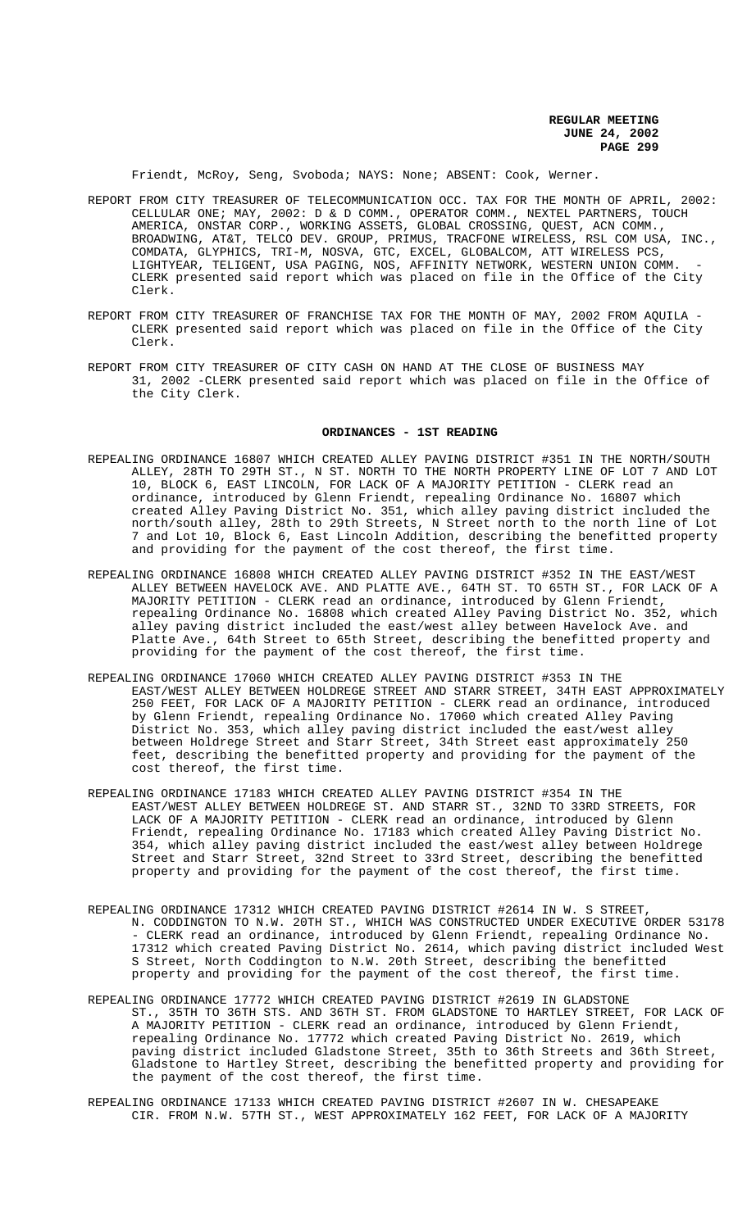Friendt, McRoy, Seng, Svoboda; NAYS: None; ABSENT: Cook, Werner.

- REPORT FROM CITY TREASURER OF TELECOMMUNICATION OCC. TAX FOR THE MONTH OF APRIL, 2002: CELLULAR ONE; MAY, 2002: D & D COMM., OPERATOR COMM., NEXTEL PARTNERS, TOUCH AMERICA, ONSTAR CORP., WORKING ASSETS, GLOBAL CROSSING, QUEST, ACN COMM., BROADWING, AT&T, TELCO DEV. GROUP, PRIMUS, TRACFONE WIRELESS, RSL COM USA, INC., COMDATA, GLYPHICS, TRI-M, NOSVA, GTC, EXCEL, GLOBALCOM, ATT WIRELESS PCS, LIGHTYEAR, TELIGENT, USA PAGING, NOS, AFFINITY NETWORK, WESTERN UNION COMM. CLERK presented said report which was placed on file in the Office of the City Clerk.
- REPORT FROM CITY TREASURER OF FRANCHISE TAX FOR THE MONTH OF MAY, 2002 FROM AQUILA CLERK presented said report which was placed on file in the Office of the City Clerk.
- REPORT FROM CITY TREASURER OF CITY CASH ON HAND AT THE CLOSE OF BUSINESS MAY 31, 2002 -CLERK presented said report which was placed on file in the Office of the City Clerk.

#### **ORDINANCES - 1ST READING**

- REPEALING ORDINANCE 16807 WHICH CREATED ALLEY PAVING DISTRICT #351 IN THE NORTH/SOUTH ALLEY, 28TH TO 29TH ST., N ST. NORTH TO THE NORTH PROPERTY LINE OF LOT 7 AND LOT 10, BLOCK 6, EAST LINCOLN, FOR LACK OF A MAJORITY PETITION - CLERK read an ordinance, introduced by Glenn Friendt, repealing Ordinance No. 16807 which created Alley Paving District No. 351, which alley paving district included the north/south alley, 28th to 29th Streets, N Street north to the north line of Lot 7 and Lot 10, Block 6, East Lincoln Addition, describing the benefitted property and providing for the payment of the cost thereof, the first time.
- REPEALING ORDINANCE 16808 WHICH CREATED ALLEY PAVING DISTRICT #352 IN THE EAST/WEST ALLEY BETWEEN HAVELOCK AVE. AND PLATTE AVE., 64TH ST. TO 65TH ST., FOR LACK OF A MAJORITY PETITION - CLERK read an ordinance, introduced by Glenn Friendt, repealing Ordinance No. 16808 which created Alley Paving District No. 352, which alley paving district included the east/west alley between Havelock Ave. and Platte Ave., 64th Street to 65th Street, describing the benefitted property and providing for the payment of the cost thereof, the first time.
- REPEALING ORDINANCE 17060 WHICH CREATED ALLEY PAVING DISTRICT #353 IN THE EAST/WEST ALLEY BETWEEN HOLDREGE STREET AND STARR STREET, 34TH EAST APPROXIMATELY 250 FEET, FOR LACK OF A MAJORITY PETITION - CLERK read an ordinance, introduced by Glenn Friendt, repealing Ordinance No. 17060 which created Alley Paving District No. 353, which alley paving district included the east/west alley between Holdrege Street and Starr Street, 34th Street east approximately 250 feet, describing the benefitted property and providing for the payment of the cost thereof, the first time.
- REPEALING ORDINANCE 17183 WHICH CREATED ALLEY PAVING DISTRICT #354 IN THE EAST/WEST ALLEY BETWEEN HOLDREGE ST. AND STARR ST., 32ND TO 33RD STREETS, FOR LACK OF A MAJORITY PETITION - CLERK read an ordinance, introduced by Glenn Friendt, repealing Ordinance No. 17183 which created Alley Paving District No. 354, which alley paving district included the east/west alley between Holdrege Street and Starr Street, 32nd Street to 33rd Street, describing the benefitted property and providing for the payment of the cost thereof, the first time.
- REPEALING ORDINANCE 17312 WHICH CREATED PAVING DISTRICT #2614 IN W. S STREET, N. CODDINGTON TO N.W. 20TH ST., WHICH WAS CONSTRUCTED UNDER EXECUTIVE ORDER 53178 - CLERK read an ordinance, introduced by Glenn Friendt, repealing Ordinance No. 17312 which created Paving District No. 2614, which paving district included West S Street, North Coddington to N.W. 20th Street, describing the benefitted property and providing for the payment of the cost thereof, the first time.
- REPEALING ORDINANCE 17772 WHICH CREATED PAVING DISTRICT #2619 IN GLADSTONE ST., 35TH TO 36TH STS. AND 36TH ST. FROM GLADSTONE TO HARTLEY STREET, FOR LACK OF A MAJORITY PETITION - CLERK read an ordinance, introduced by Glenn Friendt, repealing Ordinance No. 17772 which created Paving District No. 2619, which paving district included Gladstone Street, 35th to 36th Streets and 36th Street, Gladstone to Hartley Street, describing the benefitted property and providing for the payment of the cost thereof, the first time.
- REPEALING ORDINANCE 17133 WHICH CREATED PAVING DISTRICT #2607 IN W. CHESAPEAKE CIR. FROM N.W. 57TH ST., WEST APPROXIMATELY 162 FEET, FOR LACK OF A MAJORITY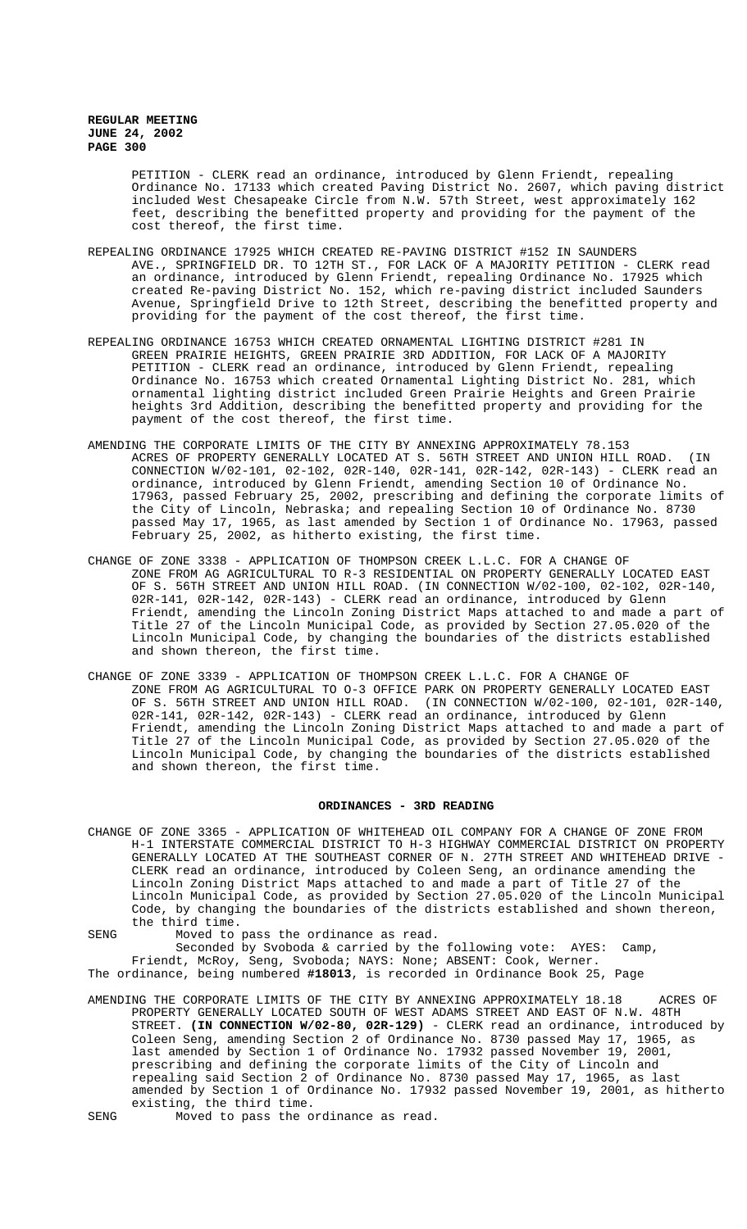PETITION - CLERK read an ordinance, introduced by Glenn Friendt, repealing Ordinance No. 17133 which created Paving District No. 2607, which paving district included West Chesapeake Circle from N.W. 57th Street, west approximately 162 feet, describing the benefitted property and providing for the payment of the cost thereof, the first time.

- REPEALING ORDINANCE 17925 WHICH CREATED RE-PAVING DISTRICT #152 IN SAUNDERS AVE., SPRINGFIELD DR. TO 12TH ST., FOR LACK OF A MAJORITY PETITION - CLERK read an ordinance, introduced by Glenn Friendt, repealing Ordinance No. 17925 which created Re-paving District No. 152, which re-paving district included Saunders Avenue, Springfield Drive to 12th Street, describing the benefitted property and providing for the payment of the cost thereof, the first time.
- REPEALING ORDINANCE 16753 WHICH CREATED ORNAMENTAL LIGHTING DISTRICT #281 IN GREEN PRAIRIE HEIGHTS, GREEN PRAIRIE 3RD ADDITION, FOR LACK OF A MAJORITY PETITION - CLERK read an ordinance, introduced by Glenn Friendt, repealing Ordinance No. 16753 which created Ornamental Lighting District No. 281, which ornamental lighting district included Green Prairie Heights and Green Prairie heights 3rd Addition, describing the benefitted property and providing for the payment of the cost thereof, the first time.
- AMENDING THE CORPORATE LIMITS OF THE CITY BY ANNEXING APPROXIMATELY 78.153 ACRES OF PROPERTY GENERALLY LOCATED AT S. 56TH STREET AND UNION HILL ROAD. (IN CONNECTION W/02-101, 02-102, 02R-140, 02R-141, 02R-142, 02R-143) - CLERK read an ordinance, introduced by Glenn Friendt, amending Section 10 of Ordinance No. 17963, passed February 25, 2002, prescribing and defining the corporate limits of the City of Lincoln, Nebraska; and repealing Section 10 of Ordinance No. 8730 passed May 17, 1965, as last amended by Section 1 of Ordinance No. 17963, passed February 25, 2002, as hitherto existing, the first time.
- CHANGE OF ZONE 3338 APPLICATION OF THOMPSON CREEK L.L.C. FOR A CHANGE OF ZONE FROM AG AGRICULTURAL TO R-3 RESIDENTIAL ON PROPERTY GENERALLY LOCATED EAST OF S. 56TH STREET AND UNION HILL ROAD. (IN CONNECTION W/02-100, 02-102, 02R-140, 02R-141, 02R-142, 02R-143) - CLERK read an ordinance, introduced by Glenn Friendt, amending the Lincoln Zoning District Maps attached to and made a part of Title 27 of the Lincoln Municipal Code, as provided by Section 27.05.020 of the Lincoln Municipal Code, by changing the boundaries of the districts established and shown thereon, the first time.
- CHANGE OF ZONE 3339 APPLICATION OF THOMPSON CREEK L.L.C. FOR A CHANGE OF ZONE FROM AG AGRICULTURAL TO O-3 OFFICE PARK ON PROPERTY GENERALLY LOCATED EAST OF S. 56TH STREET AND UNION HILL ROAD. (IN CONNECTION W/02-100, 02-101, 02R-140, 02R-141, 02R-142, 02R-143) - CLERK read an ordinance, introduced by Glenn Friendt, amending the Lincoln Zoning District Maps attached to and made a part of Title 27 of the Lincoln Municipal Code, as provided by Section 27.05.020 of the Lincoln Municipal Code, by changing the boundaries of the districts established and shown thereon, the first time.

### **ORDINANCES - 3RD READING**

CHANGE OF ZONE 3365 - APPLICATION OF WHITEHEAD OIL COMPANY FOR A CHANGE OF ZONE FROM H-1 INTERSTATE COMMERCIAL DISTRICT TO H-3 HIGHWAY COMMERCIAL DISTRICT ON PROPERTY GENERALLY LOCATED AT THE SOUTHEAST CORNER OF N. 27TH STREET AND WHITEHEAD DRIVE - CLERK read an ordinance, introduced by Coleen Seng, an ordinance amending the Lincoln Zoning District Maps attached to and made a part of Title 27 of the Lincoln Municipal Code, as provided by Section 27.05.020 of the Lincoln Municipal Code, by changing the boundaries of the districts established and shown thereon, the third time.

SENG Moved to pass the ordinance as read.

Seconded by Svoboda & carried by the following vote: AYES: Camp, Friendt, McRoy, Seng, Svoboda; NAYS: None; ABSENT: Cook, Werner.

The ordinance, being numbered **#18013**, is recorded in Ordinance Book 25, Page

- AMENDING THE CORPORATE LIMITS OF THE CITY BY ANNEXING APPROXIMATELY 18.18 ACRES OF PROPERTY GENERALLY LOCATED SOUTH OF WEST ADAMS STREET AND EAST OF N.W. 48TH STREET. **(IN CONNECTION W/02-80, 02R-129)** - CLERK read an ordinance, introduced by Coleen Seng, amending Section 2 of Ordinance No. 8730 passed May 17, 1965, as last amended by Section 1 of Ordinance No. 17932 passed November 19, 2001, prescribing and defining the corporate limits of the City of Lincoln and repealing said Section 2 of Ordinance No. 8730 passed May 17, 1965, as last amended by Section 1 of Ordinance No. 17932 passed November 19, 2001, as hitherto existing, the third time.
- SENG Moved to pass the ordinance as read.